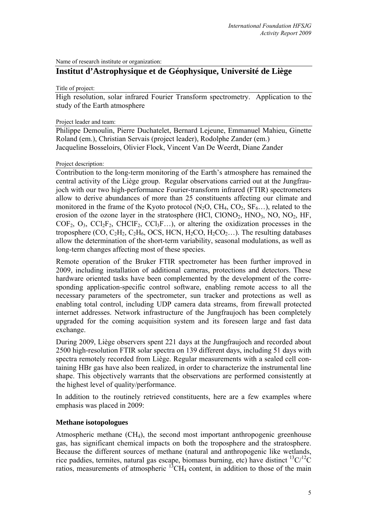Name of research institute or organization:

# **Institut d'Astrophysique et de Géophysique, Université de Liège**

Title of project:

High resolution, solar infrared Fourier Transform spectrometry. Application to the study of the Earth atmosphere

Project leader and team:

Philippe Demoulin, Pierre Duchatelet, Bernard Lejeune, Emmanuel Mahieu, Ginette Roland (em.), Christian Servais (project leader), Rodolphe Zander (em.) Jacqueline Bosseloirs, Olivier Flock, Vincent Van De Weerdt, Diane Zander

Project description:

Contribution to the long-term monitoring of the Earth's atmosphere has remained the central activity of the Liège group. Regular observations carried out at the Jungfraujoch with our two high-performance Fourier-transform infrared (FTIR) spectrometers allow to derive abundances of more than 25 constituents affecting our climate and monitored in the frame of the Kyoto protocol  $(N_2O, CH_4, CO_2, SF_6...)$ , related to the erosion of the ozone layer in the stratosphere  $(HCl, ClONO<sub>2</sub>, HNO<sub>3</sub>, NO, NO<sub>2</sub>, HF,$  $COF_2$ ,  $O_3$ ,  $CCl_2F_2$ ,  $CHClF_2$ ,  $CCl_3F$ ...), or altering the oxidization processes in the troposphere (CO,  $C_2H_2$ ,  $C_2H_6$ , OCS, HCN,  $H_2CO$ ,  $H_2CO_2...$ ). The resulting databases allow the determination of the short-term variability, seasonal modulations, as well as long-term changes affecting most of these species.

Remote operation of the Bruker FTIR spectrometer has been further improved in 2009, including installation of additional cameras, protections and detectors. These hardware oriented tasks have been complemented by the development of the corresponding application-specific control software, enabling remote access to all the necessary parameters of the spectrometer, sun tracker and protections as well as enabling total control, including UDP camera data streams, from firewall protected internet addresses. Network infrastructure of the Jungfraujoch has been completely upgraded for the coming acquisition system and its foreseen large and fast data exchange.

During 2009, Liège observers spent 221 days at the Jungfraujoch and recorded about 2500 high-resolution FTIR solar spectra on 139 different days, including 51 days with spectra remotely recorded from Liège. Regular measurements with a sealed cell containing HBr gas have also been realized, in order to characterize the instrumental line shape. This objectively warrants that the observations are performed consistently at the highest level of quality/performance.

In addition to the routinely retrieved constituents, here are a few examples where emphasis was placed in 2009:

### **Methane isotopologues**

Atmospheric methane  $(CH<sub>4</sub>)$ , the second most important anthropogenic greenhouse gas, has significant chemical impacts on both the troposphere and the stratosphere. Because the different sources of methane (natural and anthropogenic like wetlands, rice paddies, termites, natural gas escape, biomass burning, etc) have distinct  ${}^{13}C/{}^{12}C$ ratios, measurements of atmospheric  $13CH_4$  content, in addition to those of the main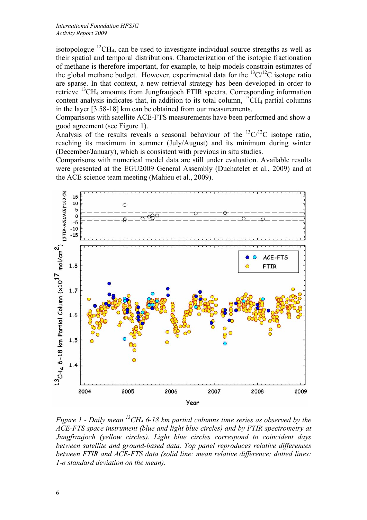isotopologue  ${}^{12}CH_4$ , can be used to investigate individual source strengths as well as their spatial and temporal distributions. Characterization of the isotopic fractionation of methane is therefore important, for example, to help models constrain estimates of the global methane budget. However, experimental data for the  ${}^{13}C/{}^{12}C$  isotope ratio are sparse. In that context, a new retrieval strategy has been developed in order to retrieve  $^{13}$ CH<sub>4</sub> amounts from Jungfraujoch FTIR spectra. Corresponding information content analysis indicates that, in addition to its total column,  ${}^{13}CH_4$  partial columns in the layer [3.58-18] km can be obtained from our measurements.

Comparisons with satellite ACE-FTS measurements have been performed and show a good agreement (see Figure 1).

Analysis of the results reveals a seasonal behaviour of the  ${}^{13}C/{}^{12}C$  isotope ratio, reaching its maximum in summer (July/August) and its minimum during winter (December/January), which is consistent with previous in situ studies.

Comparisons with numerical model data are still under evaluation. Available results were presented at the EGU2009 General Assembly (Duchatelet et al., 2009) and at the ACE science team meeting (Mahieu et al., 2009).



*Figure 1 - Daily mean 13CH4 6-18 km partial columns time series as observed by the ACE-FTS space instrument (blue and light blue circles) and by FTIR spectrometry at Jungfraujoch (yellow circles). Light blue circles correspond to coincident days between satellite and ground-based data. Top panel reproduces relative differences between FTIR and ACE-FTS data (solid line: mean relative difference; dotted lines: 1-σ standard deviation on the mean).*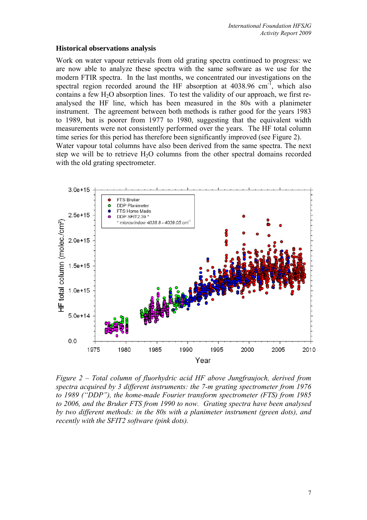#### **Historical observations analysis**

Work on water vapour retrievals from old grating spectra continued to progress: we are now able to analyze these spectra with the same software as we use for the modern FTIR spectra. In the last months, we concentrated our investigations on the spectral region recorded around the HF absorption at  $4038.96 \text{ cm}^{-1}$ , which also contains a few  $H_2O$  absorption lines. To test the validity of our approach, we first reanalysed the HF line, which has been measured in the 80s with a planimeter instrument. The agreement between both methods is rather good for the years 1983 to 1989, but is poorer from 1977 to 1980, suggesting that the equivalent width measurements were not consistently performed over the years. The HF total column time series for this period has therefore been significantly improved (see Figure 2). Water vapour total columns have also been derived from the same spectra. The next step we will be to retrieve  $H_2O$  columns from the other spectral domains recorded

with the old grating spectrometer.



*Figure 2 – Total column of fluorhydric acid HF above Jungfraujoch, derived from spectra acquired by 3 different instruments: the 7-m grating spectrometer from 1976 to 1989 ("DDP"), the home-made Fourier transform spectrometer (FTS) from 1985 to 2006, and the Bruker FTS from 1990 to now. Grating spectra have been analysed by two different methods: in the 80s with a planimeter instrument (green dots), and recently with the SFIT2 software (pink dots).*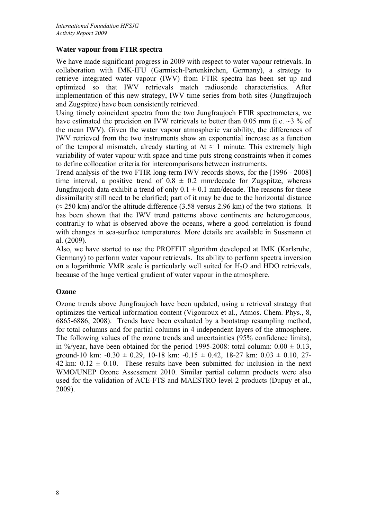# **Water vapour from FTIR spectra**

We have made significant progress in 2009 with respect to water vapour retrievals. In collaboration with IMK-IFU (Garmisch-Partenkirchen, Germany), a strategy to retrieve integrated water vapour (IWV) from FTIR spectra has been set up and optimized so that IWV retrievals match radiosonde characteristics. After implementation of this new strategy, IWV time series from both sites (Jungfraujoch and Zugspitze) have been consistently retrieved.

Using timely coincident spectra from the two Jungfraujoch FTIR spectrometers, we have estimated the precision on IVW retrievals to better than 0.05 mm (i.e.  $\sim$ 3 % of the mean IWV). Given the water vapour atmospheric variability, the differences of IWV retrieved from the two instruments show an exponential increase as a function of the temporal mismatch, already starting at  $\Delta t \approx 1$  minute. This extremely high variability of water vapour with space and time puts strong constraints when it comes to define collocation criteria for intercomparisons between instruments.

Trend analysis of the two FTIR long-term IWV records shows, for the [1996 - 2008] time interval, a positive trend of  $0.8 \pm 0.2$  mm/decade for Zugspitze, whereas Jungfraujoch data exhibit a trend of only  $0.1 \pm 0.1$  mm/decade. The reasons for these dissimilarity still need to be clarified; part of it may be due to the horizontal distance  $(z 250 \text{ km})$  and/or the altitude difference (3.58 versus 2.96 km) of the two stations. It has been shown that the IWV trend patterns above continents are heterogeneous, contrarily to what is observed above the oceans, where a good correlation is found with changes in sea-surface temperatures. More details are available in Sussmann et al. (2009).

Also, we have started to use the PROFFIT algorithm developed at IMK (Karlsruhe, Germany) to perform water vapour retrievals. Its ability to perform spectra inversion on a logarithmic VMR scale is particularly well suited for  $H_2O$  and HDO retrievals, because of the huge vertical gradient of water vapour in the atmosphere.

# **Ozone**

Ozone trends above Jungfraujoch have been updated, using a retrieval strategy that optimizes the vertical information content (Vigouroux et al., Atmos. Chem. Phys., 8, 6865-6886, 2008). Trends have been evaluated by a bootstrap resampling method, for total columns and for partial columns in 4 independent layers of the atmosphere. The following values of the ozone trends and uncertainties (95% confidence limits), in %/year, have been obtained for the period 1995-2008: total column:  $0.00 \pm 0.13$ , ground-10 km:  $-0.30 \pm 0.29$ , 10-18 km:  $-0.15 \pm 0.42$ , 18-27 km:  $0.03 \pm 0.10$ , 27-42 km:  $0.12 \pm 0.10$ . These results have been submitted for inclusion in the next WMO/UNEP Ozone Assessment 2010. Similar partial column products were also used for the validation of ACE-FTS and MAESTRO level 2 products (Dupuy et al., 2009).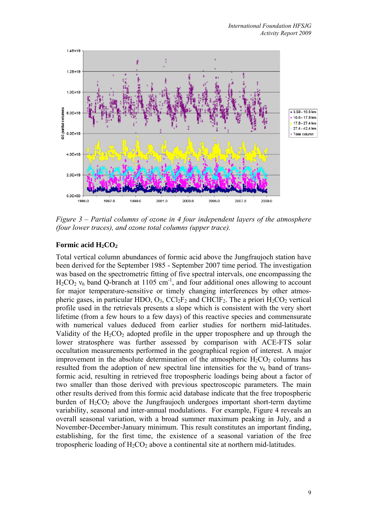

*Figure 3 – Partial columns of ozone in 4 four independent layers of the atmosphere (four lower traces), and ozone total columns (upper trace).* 

# Formic acid H<sub>2</sub>CO<sub>2</sub>

Total vertical column abundances of formic acid above the Jungfraujoch station have been derived for the September 1985 - September 2007 time period. The investigation was based on the spectrometric fitting of five spectral intervals, one encompassing the  $H_2CO_2$   $v_6$  band Q-branch at 1105 cm<sup>-1</sup>, and four additional ones allowing to account for major temperature-sensitive or timely changing interferences by other atmospheric gases, in particular HDO,  $O_3$ ,  $\text{CCl}_2\text{F}_2$  and  $\text{CHClF}_2$ . The a priori  $\text{H}_2\text{CO}_2$  vertical profile used in the retrievals presents a slope which is consistent with the very short lifetime (from a few hours to a few days) of this reactive species and commensurate with numerical values deduced from earlier studies for northern mid-latitudes. Validity of the  $H_2CO_2$  adopted profile in the upper troposphere and up through the lower stratosphere was further assessed by comparison with ACE-FTS solar occultation measurements performed in the geographical region of interest. A major improvement in the absolute determination of the atmospheric  $H_2CO_2$  columns has resulted from the adoption of new spectral line intensities for the  $v_6$  band of transformic acid, resulting in retrieved free tropospheric loadings being about a factor of two smaller than those derived with previous spectroscopic parameters. The main other results derived from this formic acid database indicate that the free tropospheric burden of  $H_2CO_2$  above the Jungfraujoch undergoes important short-term daytime variability, seasonal and inter-annual modulations. For example, Figure 4 reveals an overall seasonal variation, with a broad summer maximum peaking in July, and a November-December-January minimum. This result constitutes an important finding, establishing, for the first time, the existence of a seasonal variation of the free tropospheric loading of  $H_2CO_2$  above a continental site at northern mid-latitudes.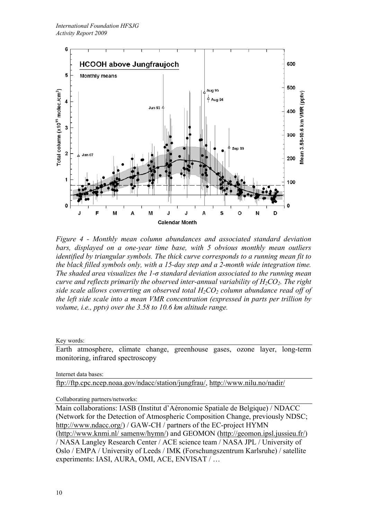

*Figure 4 - Monthly mean column abundances and associated standard deviation bars, displayed on a one-year time base, with 5 obvious monthly mean outliers identified by triangular symbols. The thick curve corresponds to a running mean fit to the black filled symbols only, with a 15-day step and a 2-month wide integration time. The shaded area visualizes the 1-σ standard deviation associated to the running mean curve and reflects primarily the observed inter-annual variability of H<sub>2</sub>CO<sub>2</sub>. The right side scale allows converting an observed total*  $H_2CO_2$  *column abundance read off of the left side scale into a mean VMR concentration (expressed in parts per trillion by volume, i.e., pptv) over the 3.58 to 10.6 km altitude range.* 

Key words:

Earth atmosphere, climate change, greenhouse gases, ozone layer, long-term monitoring, infrared spectroscopy

Internet data bases:

ftp://ftp.cpc.ncep.noaa.gov/ndacc/station/jungfrau/, http://www.nilu.no/nadir/

Collaborating partners/networks:

Main collaborations: IASB (Institut d'Aéronomie Spatiale de Belgique) / NDACC (Network for the Detection of Atmospheric Composition Change, previously NDSC; http://www.ndacc.org/) / GAW-CH / partners of the EC-project HYMN (http://www.knmi.nl/ samenw/hymn/) and GEOMON (http://geomon.ipsl.jussieu.fr/) / NASA Langley Research Center / ACE science team / NASA JPL / University of Oslo / EMPA / University of Leeds / IMK (Forschungszentrum Karlsruhe) / satellite experiments: IASI, AURA, OMI, ACE, ENVISAT / …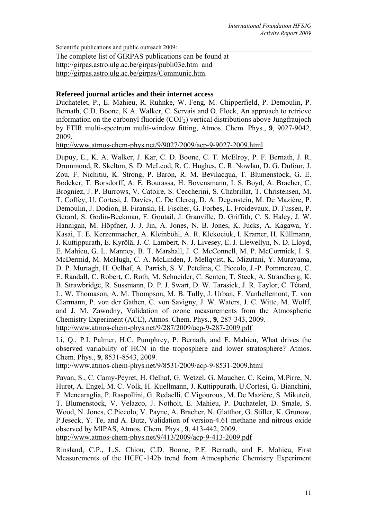Scientific publications and public outreach 2009:

The complete list of GIRPAS publications can be found at http://girpas.astro.ulg.ac.be/girpas/publi03e.htm and http://girpas.astro.ulg.ac.be/girpas/Communic.htm.

#### **Refereed journal articles and their internet access**

Duchatelet, P., E. Mahieu, R. Ruhnke, W. Feng, M. Chipperfield, P. Demoulin, P. Bernath, C.D. Boone, K.A. Walker, C. Servais and O. Flock, An approach to retrieve information on the carbonyl fluoride  $(COF<sub>2</sub>)$  vertical distributions above Jungfraujoch by FTIR multi-spectrum multi-window fitting, Atmos. Chem. Phys., **9**, 9027-9042, 2009.

http://www.atmos-chem-phys.net/9/9027/2009/acp-9-9027-2009.html

Dupuy, E., K. A. Walker, J. Kar, C. D. Boone, C. T. McElroy, P. F. Bernath, J. R. Drummond, R. Skelton, S. D. McLeod, R. C. Hughes, C. R. Nowlan, D. G. Dufour, J. Zou, F. Nichitiu, K. Strong, P. Baron, R. M. Bevilacqua, T. Blumenstock, G. E. Bodeker, T. Borsdorff, A. E. Bourassa, H. Bovensmann, I. S. Boyd, A. Bracher, C. Brogniez, J. P. Burrows, V. Catoire, S. Ceccherini, S. Chabrillat, T. Christensen, M. T. Coffey, U. Cortesi, J. Davies, C. De Clercq, D. A. Degenstein, M. De Mazière, P. Demoulin, J. Dodion, B. Firanski, H. Fischer, G. Forbes, L. Froidevaux, D. Fussen, P. Gerard, S. Godin-Beekman, F. Goutail, J. Granville, D. Griffith, C. S. Haley, J. W. Hannigan, M. Höpfner, J. J. Jin, A. Jones, N. B. Jones, K. Jucks, A. Kagawa, Y. Kasai, T. E. Kerzenmacher, A. Kleinböhl, A. R. Klekociuk, I. Kramer, H. Küllmann, J. Kuttippurath, E. Kyrölä, J.-C. Lambert, N. J. Livesey, E. J. Llewellyn, N. D. Lloyd, E. Mahieu, G. L. Manney, B. T. Marshall, J. C. McConnell, M. P. McCormick, I. S. McDermid, M. McHugh, C. A. McLinden, J. Mellqvist, K. Mizutani, Y. Murayama, D. P. Murtagh, H. Oelhaf, A. Parrish, S. V. Petelina, C. Piccolo, J.-P. Pommereau, C. E. Randall, C. Robert, C. Roth, M. Schneider, C. Senten, T. Steck, A. Strandberg, K. B. Strawbridge, R. Sussmann, D. P. J. Swart, D. W. Tarasick, J. R. Taylor, C. Tétard, L. W. Thomason, A. M. Thompson, M. B. Tully, J. Urban, F. Vanhellemont, T. von Clarmann, P. von der Gathen, C. von Savigny, J. W. Waters, J. C. Witte, M. Wolff, and J. M. Zawodny, Validation of ozone measurements from the Atmospheric Chemistry Experiment (ACE), Atmos. Chem. Phys., **9**, 287-343, 2009. http://www.atmos-chem-phys.net/9/287/2009/acp-9-287-2009.pdf

Li, Q., P.I. Palmer, H.C. Pumphrey, P. Bernath, and E. Mahieu, What drives the observed variability of HCN in the troposphere and lower stratosphere? Atmos. Chem. Phys., **9**, 8531-8543, 2009.

http://www.atmos-chem-phys.net/9/8531/2009/acp-9-8531-2009.html

Payan, S., C. Camy-Peyret, H. Oelhaf, G. Wetzel, G. Maucher, C. Keim, M.Pirre, N. Huret, A. Engel, M. C. Volk, H. Kuellmann, J. Kuttippurath, U.Cortesi, G. Bianchini, F. Mencaraglia, P. Raspollini, G. Redaelli, C.Vigouroux, M. De Mazière, S. Mikuteit, T. Blumenstock, V. Velazco, J. Notholt, E. Mahieu, P. Duchatelet, D. Smale, S. Wood, N. Jones, C.Piccolo, V. Payne, A. Bracher, N. Glatthor, G. Stiller, K. Grunow, P.Jeseck, Y. Te, and A. Butz, Validation of version-4.61 methane and nitrous oxide observed by MIPAS, Atmos. Chem. Phys., **9**, 413-442, 2009.

http://www.atmos-chem-phys.net/9/413/2009/acp-9-413-2009.pdf

Rinsland, C.P., L.S. Chiou, C.D. Boone, P.F. Bernath, and E. Mahieu, First Measurements of the HCFC-142b trend from Atmospheric Chemistry Experiment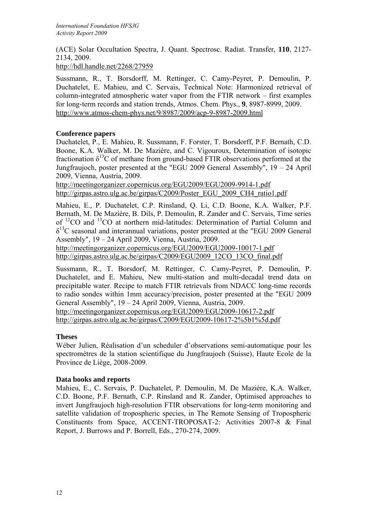(ACE) Solar Occultation Spectra, J. Quant. Spectrosc. Radiat. Transfer, **110**, 2127- 2134, 2009.

http://hdl.handle.net/2268/27959

Sussmann, R., T. Borsdorff, M. Rettinger, C. Camy-Peyret, P. Demoulin, P. Duchatelet, E. Mahieu, and C. Servais, Technical Note: Harmonized retrieval of column-integrated atmospheric water vapor from the FTIR network – first examples for long-term records and station trends, Atmos. Chem. Phys., **9**, 8987-8999, 2009. http://www.atmos-chem-phys.net/9/8987/2009/acp-9-8987-2009.html

### **Conference papers**

Duchatelet, P., E. Mahieu, R. Sussmann, F. Forster, T. Borsdorff, P.F. Bernath, C.D. Boone, K.A. Walker, M. De Mazière, and C. Vigouroux, Determination of isotopic fractionation  $\delta^{13}$ C of methane from ground-based FTIR observations performed at the Jungfraujoch, poster presented at the "EGU 2009 General Assembly", 19 – 24 April 2009, Vienna, Austria, 2009.

http://meetingorganizer.copernicus.org/EGU2009/EGU2009-9914-1.pdf http://girpas.astro.ulg.ac.be/girpas/C2009/Poster\_EGU\_2009\_CH4\_ratio1.pdf

Mahieu, E., P. Duchatelet, C.P. Rinsland, Q. Li, C.D. Boone, K.A. Walker, P.F. Bernath, M. De Mazière, B. Dils, P. Demoulin, R. Zander and C. Servais, Time series of 12CO and 13CO at northern mid-latitudes: Determination of Partial Column and  $\delta^{13}$ C seasonal and interannual variations, poster presented at the "EGU 2009 General Assembly", 19 – 24 April 2009, Vienna, Austria, 2009.

http://meetingorganizer.copernicus.org/EGU2009/EGU2009-10017-1.pdf http://girpas.astro.ulg.ac.be/girpas/C2009/EGU2009\_12CO\_13CO\_final.pdf

Sussmann, R., T. Borsdorf, M. Rettinger, C. Camy-Peyret, P. Demoulin, P. Duchatelet, and E. Mahieu, New multi-station and multi-decadal trend data on precipitable water. Recipe to match FTIR retrievals from NDACC long-time records to radio sondes within 1mm accuracy/precision, poster presented at the "EGU 2009 General Assembly", 19 – 24 April 2009, Vienna, Austria, 2009.

http://meetingorganizer.copernicus.org/EGU2009/EGU2009-10617-2.pdf http://girpas.astro.ulg.ac.be/girpas/C2009/EGU2009-10617-2%5b1%5d.pdf

# **Theses**

Wéber Julien, Réalisation d'un scheduler d'observations semi-automatique pour les spectromètres de la station scientifique du Jungfraujoch (Suisse), Haute Ecole de la Province de Liège, 2008-2009.

# **Data books and reports**

Mahieu, E., C. Servais, P. Duchatelet, P. Demoulin, M. De Mazière, K.A. Walker, C.D. Boone, P.F. Bernath, C.P. Rinsland and R. Zander, Optimised approaches to invert Jungfraujoch high-resolution FTIR observations for long-term monitoring and satellite validation of tropospheric species, in The Remote Sensing of Tropospheric Constituents from Space, ACCENT-TROPOSAT-2: Activities 2007-8 & Final Report, J. Burrows and P. Borrell, Eds., 270-274, 2009.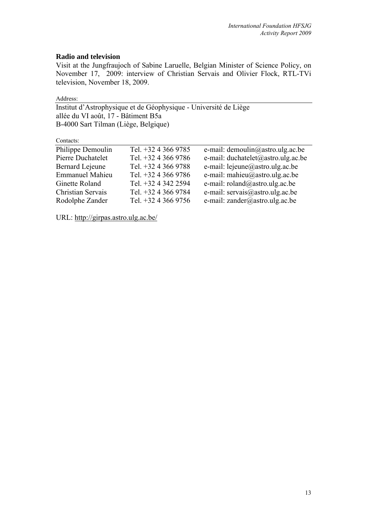### **Radio and television**

Visit at the Jungfraujoch of Sabine Laruelle, Belgian Minister of Science Policy, on November 17, 2009: interview of Christian Servais and Olivier Flock, RTL-TVi television, November 18, 2009.

Address:

Institut d'Astrophysique et de Géophysique - Université de Liège allée du VI août, 17 - Bâtiment B5a B-4000 Sart Tilman (Liège, Belgique)

Contacts:

| Comacio.               |                       |                                    |
|------------------------|-----------------------|------------------------------------|
| Philippe Demoulin      | Tel. +32 4 366 9785   | e-mail: demoulin@astro.ulg.ac.be   |
| Pierre Duchatelet      | Tel. +32 4 366 9786   | e-mail: duchatelet@astro.ulg.ac.be |
| <b>Bernard Lejeune</b> | Tel. $+32$ 4 366 9788 | e-mail: lejeune@astro.ulg.ac.be    |
| <b>Emmanuel Mahieu</b> | Tel. $+3243669786$    | e-mail: mahieu@astro.ulg.ac.be     |
| Ginette Roland         | Tel. +32 4 342 2594   | e-mail: $roland@astro.ulg.ac.be$   |
| Christian Servais      | Tel. +32 4 366 9784   | e-mail: servais@astro.ulg.ac.be    |
| Rodolphe Zander        | Tel. $+32$ 4 366 9756 | e-mail: zander@astro.ulg.ac.be     |
|                        |                       |                                    |

URL: http://girpas.astro.ulg.ac.be/